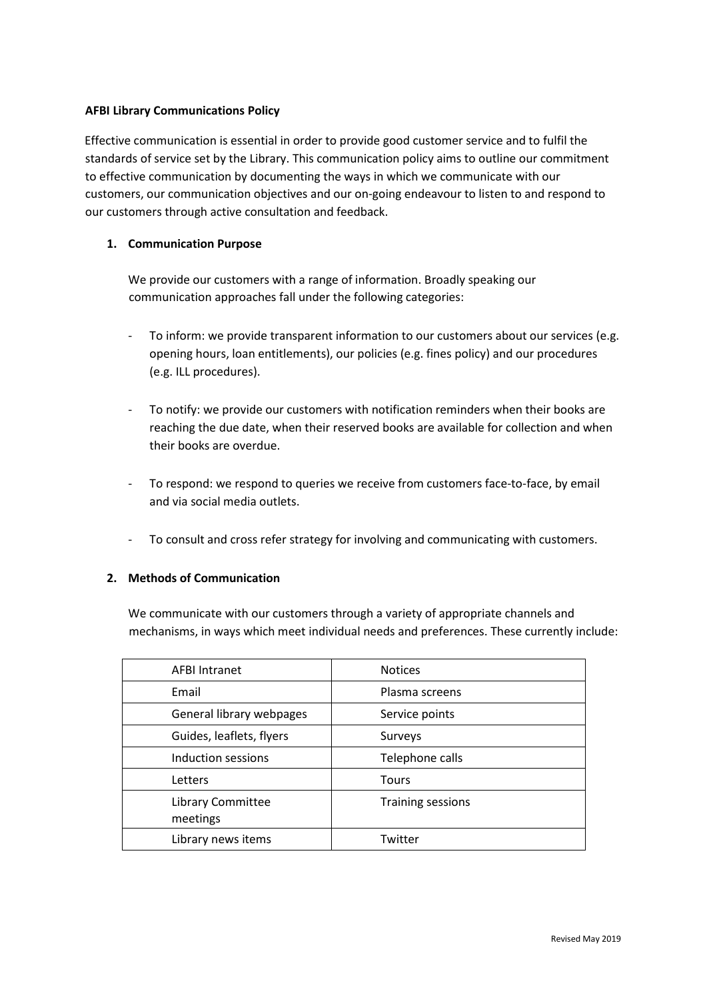# **AFBI Library Communications Policy**

Effective communication is essential in order to provide good customer service and to fulfil the standards of service set by the Library. This communication policy aims to outline our commitment to effective communication by documenting the ways in which we communicate with our customers, our communication objectives and our on‐going endeavour to listen to and respond to our customers through active consultation and feedback.

# **1. Communication Purpose**

We provide our customers with a range of information. Broadly speaking our communication approaches fall under the following categories:

- ‐ To inform: we provide transparent information to our customers about our services (e.g. opening hours, loan entitlements), our policies (e.g. fines policy) and our procedures (e.g. ILL procedures).
- ‐ To notify: we provide our customers with notification reminders when their books are reaching the due date, when their reserved books are available for collection and when their books are overdue.
- ‐ To respond: we respond to queries we receive from customers face‐to‐face, by email and via social media outlets.
- ‐ To consult and cross refer strategy for involving and communicating with customers.

## **2. Methods of Communication**

We communicate with our customers through a variety of appropriate channels and mechanisms, in ways which meet individual needs and preferences. These currently include:

| <b>AFBI Intranet</b>          | <b>Notices</b>           |
|-------------------------------|--------------------------|
| Email                         | Plasma screens           |
| General library webpages      | Service points           |
| Guides, leaflets, flyers      | Surveys                  |
| Induction sessions            | Telephone calls          |
| Letters                       | Tours                    |
| Library Committee<br>meetings | <b>Training sessions</b> |
| Library news items            | Twitter                  |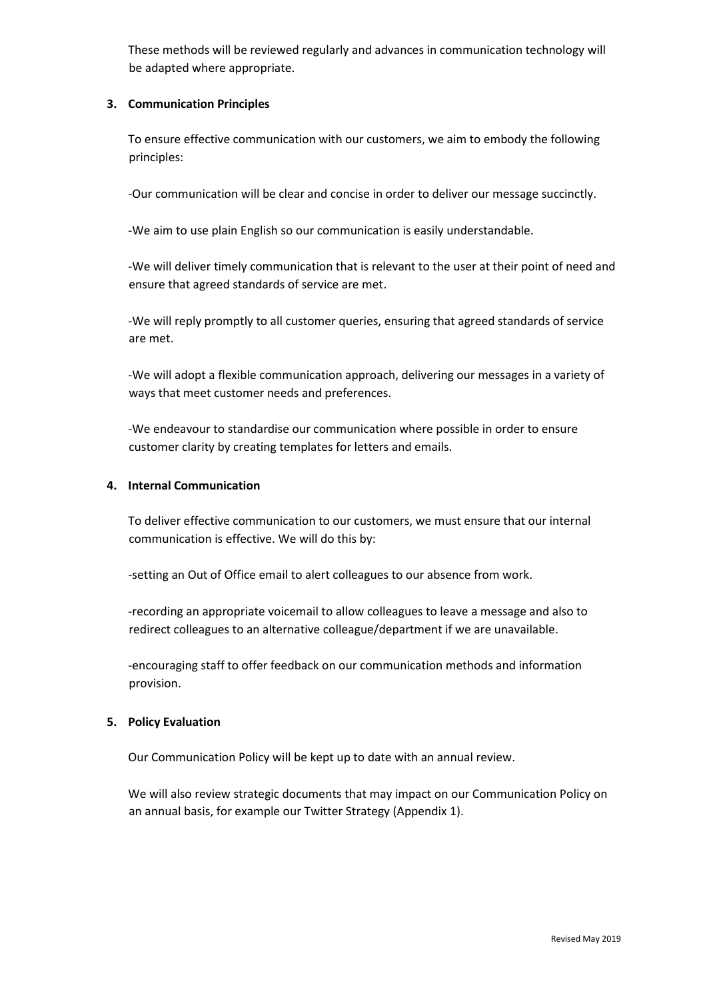These methods will be reviewed regularly and advances in communication technology will be adapted where appropriate.

# **3. Communication Principles**

To ensure effective communication with our customers, we aim to embody the following principles:

‐Our communication will be clear and concise in order to deliver our message succinctly.

‐We aim to use plain English so our communication is easily understandable.

‐We will deliver timely communication that is relevant to the user at their point of need and ensure that agreed standards of service are met.

‐We will reply promptly to all customer queries, ensuring that agreed standards of service are met.

‐We will adopt a flexible communication approach, delivering our messages in a variety of ways that meet customer needs and preferences.

‐We endeavour to standardise our communication where possible in order to ensure customer clarity by creating templates for letters and emails.

## **4. Internal Communication**

To deliver effective communication to our customers, we must ensure that our internal communication is effective. We will do this by:

‐setting an Out of Office email to alert colleagues to our absence from work.

‐recording an appropriate voicemail to allow colleagues to leave a message and also to redirect colleagues to an alternative colleague/department if we are unavailable.

‐encouraging staff to offer feedback on our communication methods and information provision.

# **5. Policy Evaluation**

Our Communication Policy will be kept up to date with an annual review.

We will also review strategic documents that may impact on our Communication Policy on an annual basis, for example our Twitter Strategy (Appendix 1).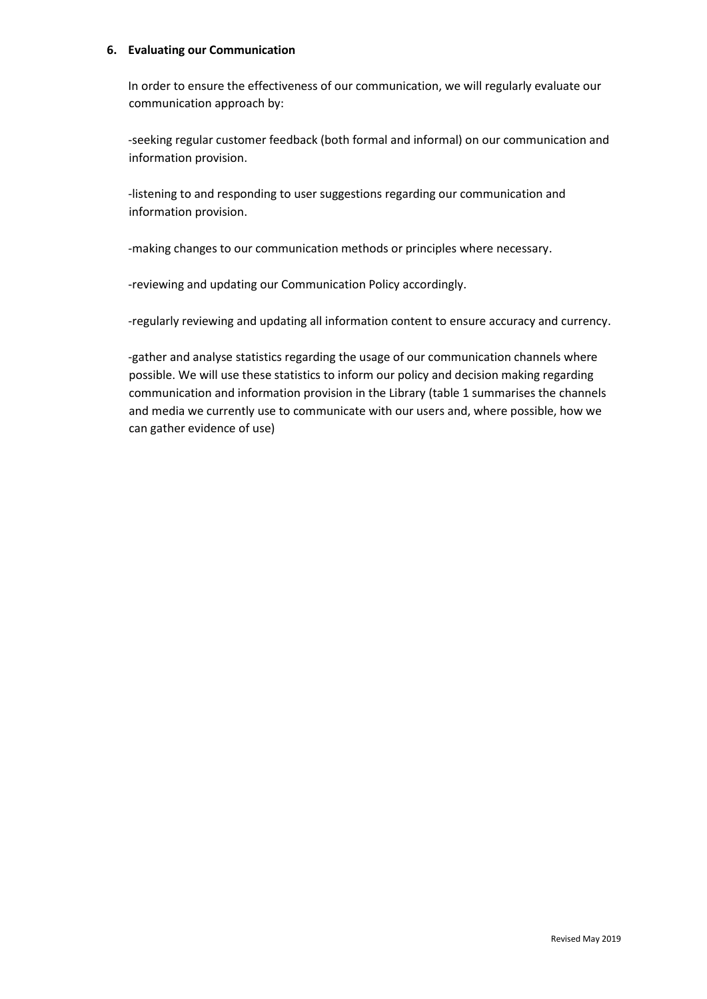#### **6. Evaluating our Communication**

In order to ensure the effectiveness of our communication, we will regularly evaluate our communication approach by:

‐seeking regular customer feedback (both formal and informal) on our communication and information provision.

‐listening to and responding to user suggestions regarding our communication and information provision.

‐making changes to our communication methods or principles where necessary.

‐reviewing and updating our Communication Policy accordingly.

‐regularly reviewing and updating all information content to ensure accuracy and currency.

‐gather and analyse statistics regarding the usage of our communication channels where possible. We will use these statistics to inform our policy and decision making regarding communication and information provision in the Library (table 1 summarises the channels and media we currently use to communicate with our users and, where possible, how we can gather evidence of use)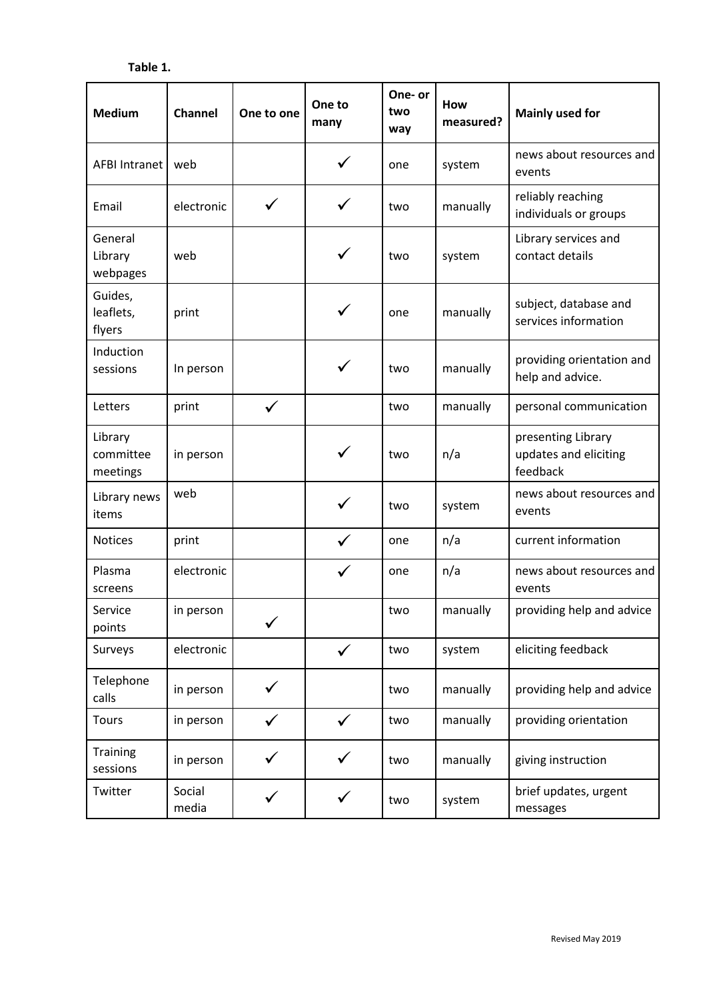| <b>Medium</b>                    | Channel         | One to one   | One to<br>many | One- or<br>two<br>way | How<br>measured? | <b>Mainly used for</b>                                  |
|----------------------------------|-----------------|--------------|----------------|-----------------------|------------------|---------------------------------------------------------|
| <b>AFBI Intranet</b>             | web             |              |                | one                   | system           | news about resources and<br>events                      |
| Email                            | electronic      |              |                | two                   | manually         | reliably reaching<br>individuals or groups              |
| General<br>Library<br>webpages   | web             |              | ✓              | two                   | system           | Library services and<br>contact details                 |
| Guides,<br>leaflets,<br>flyers   | print           |              | ✓              | one                   | manually         | subject, database and<br>services information           |
| Induction<br>sessions            | In person       |              |                | two                   | manually         | providing orientation and<br>help and advice.           |
| Letters                          | print           | $\checkmark$ |                | two                   | manually         | personal communication                                  |
| Library<br>committee<br>meetings | in person       |              | ✓              | two                   | n/a              | presenting Library<br>updates and eliciting<br>feedback |
| Library news<br>items            | web             |              |                | two                   | system           | news about resources and<br>events                      |
| <b>Notices</b>                   | print           |              | $\checkmark$   | one                   | n/a              | current information                                     |
| Plasma<br>screens                | electronic      |              |                | one                   | n/a              | news about resources and<br>events                      |
| Service<br>points                | in person       |              |                | two                   | manually         | providing help and advice                               |
| Surveys                          | electronic      |              | $\checkmark$   | two                   | system           | eliciting feedback                                      |
| Telephone<br>calls               | in person       | ✓            |                | two                   | manually         | providing help and advice                               |
| Tours                            | in person       |              | $\checkmark$   | two                   | manually         | providing orientation                                   |
| <b>Training</b><br>sessions      | in person       |              |                | two                   | manually         | giving instruction                                      |
| Twitter                          | Social<br>media |              |                | two                   | system           | brief updates, urgent<br>messages                       |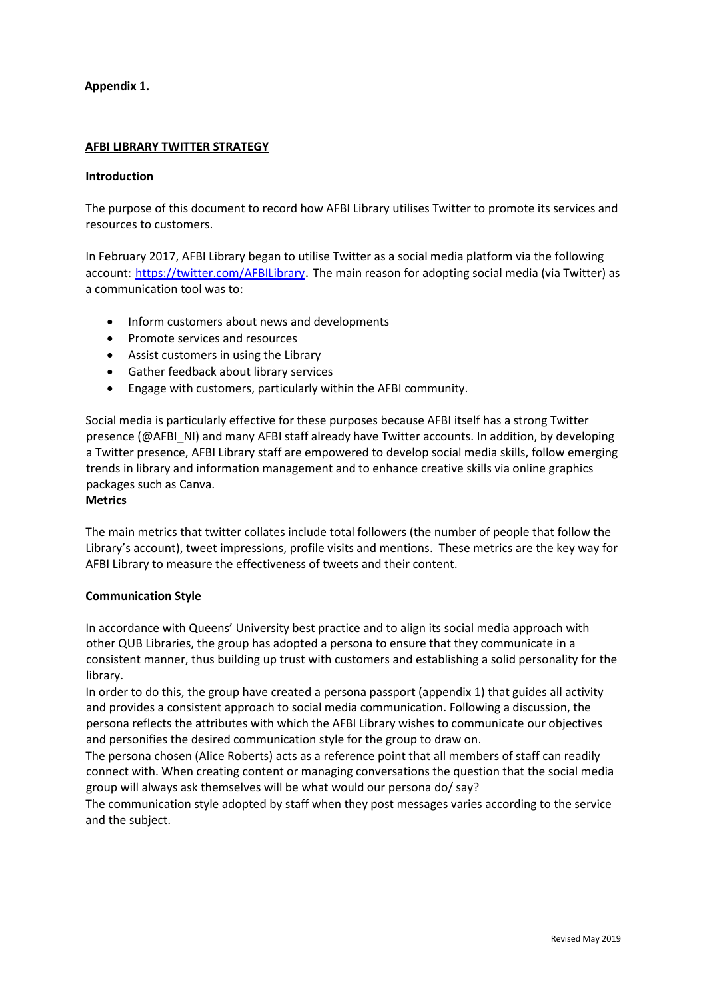# **Appendix 1.**

# **AFBI LIBRARY TWITTER STRATEGY**

#### **Introduction**

The purpose of this document to record how AFBI Library utilises Twitter to promote its services and resources to customers.

In February 2017, AFBI Library began to utilise Twitter as a social media platform via the following account: https://twitter.com/AFBILibrary. The main reason for adopting social media (via Twitter) as a communication tool was to:

- Inform customers about news and developments
- Promote services and resources
- Assist customers in using the Library
- Gather feedback about library services
- Engage with customers, particularly within the AFBI community.

Social media is particularly effective for these purposes because AFBI itself has a strong Twitter presence (@AFBI\_NI) and many AFBI staff already have Twitter accounts. In addition, by developing a Twitter presence, AFBI Library staff are empowered to develop social media skills, follow emerging trends in library and information management and to enhance creative skills via online graphics packages such as Canva.

#### **Metrics**

The main metrics that twitter collates include total followers (the number of people that follow the Library's account), tweet impressions, profile visits and mentions. These metrics are the key way for AFBI Library to measure the effectiveness of tweets and their content.

## **Communication Style**

In accordance with Queens' University best practice and to align its social media approach with other QUB Libraries, the group has adopted a persona to ensure that they communicate in a consistent manner, thus building up trust with customers and establishing a solid personality for the library.

In order to do this, the group have created a persona passport (appendix 1) that guides all activity and provides a consistent approach to social media communication. Following a discussion, the persona reflects the attributes with which the AFBI Library wishes to communicate our objectives and personifies the desired communication style for the group to draw on.

The persona chosen (Alice Roberts) acts as a reference point that all members of staff can readily connect with. When creating content or managing conversations the question that the social media group will always ask themselves will be what would our persona do/ say?

The communication style adopted by staff when they post messages varies according to the service and the subject.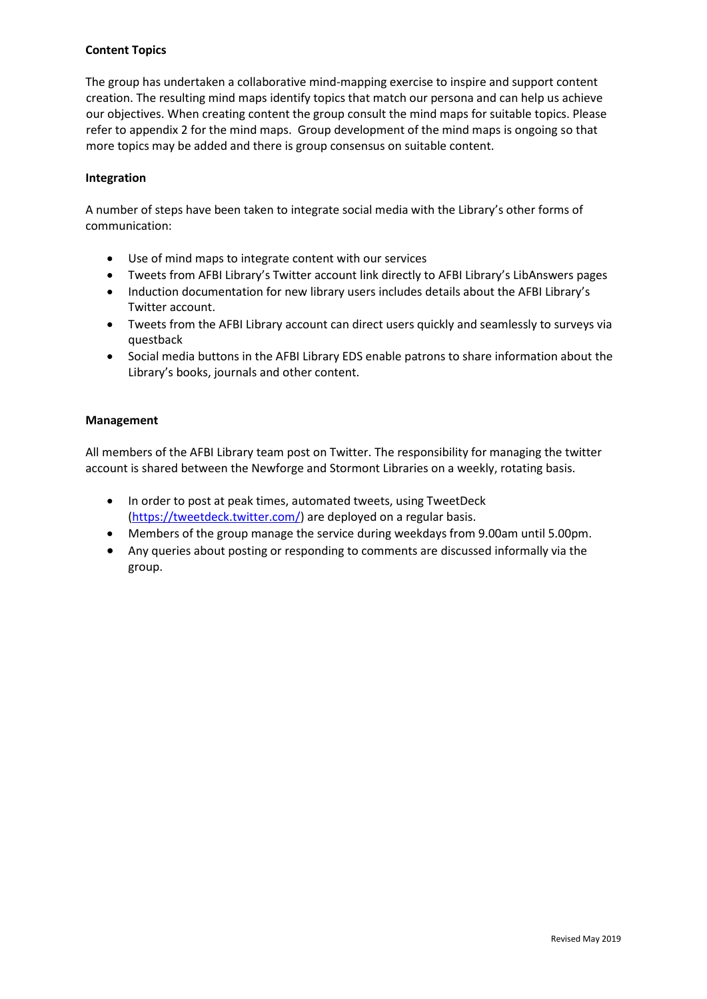# **Content Topics**

The group has undertaken a collaborative mind-mapping exercise to inspire and support content creation. The resulting mind maps identify topics that match our persona and can help us achieve our objectives. When creating content the group consult the mind maps for suitable topics. Please refer to appendix 2 for the mind maps. Group development of the mind maps is ongoing so that more topics may be added and there is group consensus on suitable content.

## **Integration**

A number of steps have been taken to integrate social media with the Library's other forms of communication:

- Use of mind maps to integrate content with our services
- Tweets from AFBI Library's Twitter account link directly to AFBI Library's LibAnswers pages
- Induction documentation for new library users includes details about the AFBI Library's Twitter account.
- Tweets from the AFBI Library account can direct users quickly and seamlessly to surveys via questback
- Social media buttons in the AFBI Library EDS enable patrons to share information about the Library's books, journals and other content.

## **Management**

All members of the AFBI Library team post on Twitter. The responsibility for managing the twitter account is shared between the Newforge and Stormont Libraries on a weekly, rotating basis.

- In order to post at peak times, automated tweets, using TweetDeck [\(https://tweetdeck.twitter.com/\)](https://tweetdeck.twitter.com/) are deployed on a regular basis.
- Members of the group manage the service during weekdays from 9.00am until 5.00pm.
- Any queries about posting or responding to comments are discussed informally via the group.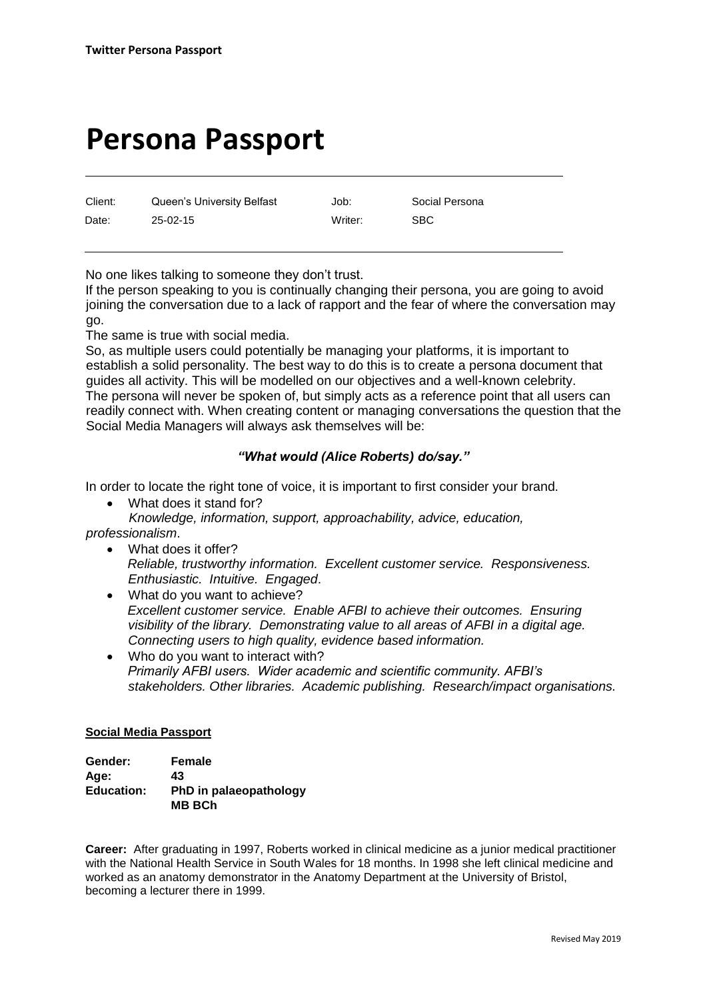# **Persona Passport**

Client: Queen's University Belfast Job: Social Persona Date: 25-02-15 Writer: SBC

No one likes talking to someone they don't trust.

If the person speaking to you is continually changing their persona, you are going to avoid joining the conversation due to a lack of rapport and the fear of where the conversation may go.

The same is true with social media.

So, as multiple users could potentially be managing your platforms, it is important to establish a solid personality. The best way to do this is to create a persona document that guides all activity. This will be modelled on our objectives and a well-known celebrity. The persona will never be spoken of, but simply acts as a reference point that all users can readily connect with. When creating content or managing conversations the question that the Social Media Managers will always ask themselves will be:

# *"What would (Alice Roberts) do/say."*

In order to locate the right tone of voice, it is important to first consider your brand.

What does it stand for?

*Knowledge, information, support, approachability, advice, education, professionalism*.

What does it offer?

*Reliable, trustworthy information. Excellent customer service. Responsiveness. Enthusiastic. Intuitive. Engaged*.

- What do you want to achieve? *Excellent customer service. Enable AFBI to achieve their outcomes. Ensuring visibility of the library. Demonstrating value to all areas of AFBI in a digital age. Connecting users to high quality, evidence based information.*
- Who do you want to interact with? *Primarily AFBI users. Wider academic and scientific community. AFBI's stakeholders. Other libraries. Academic publishing. Research/impact organisations.*

## **Social Media Passport**

| Gender:           | Female                                  |
|-------------------|-----------------------------------------|
| Age:              | 43                                      |
| <b>Education:</b> | PhD in palaeopathology<br><b>MB BCh</b> |

**Career:** After graduating in 1997, Roberts worked in clinical medicine as a junior medical practitioner with the [National Health Service](https://en.wikipedia.org/wiki/National_Health_Service) in [South Wales](https://en.wikipedia.org/wiki/South_Wales) for 18 months. In 1998 she left clinical medicine and worked as an anatomy demonstrator in the Anatomy Department at the [University of Bristol,](https://en.wikipedia.org/wiki/University_of_Bristol) becoming a lecturer there in 1999.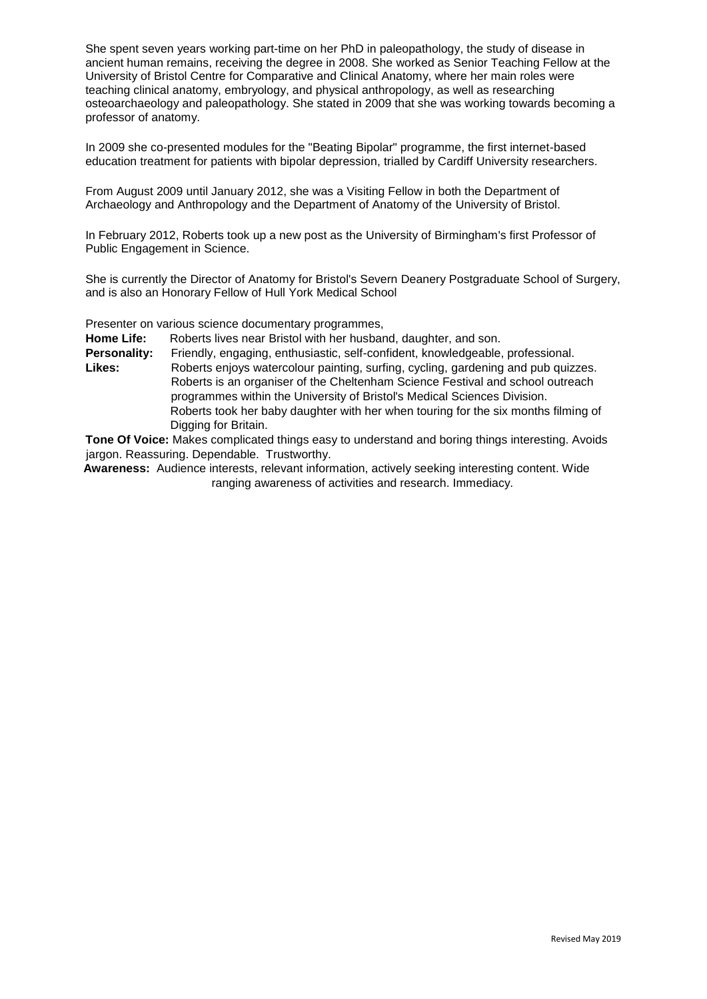She spent seven years working part-time on her PhD in [paleopathology,](https://en.wikipedia.org/wiki/Paleopathology) the study of disease in ancient human remains, receiving the degree in 2008. She worked as Senior Teaching Fellow at the University of Bristol Centre for Comparative and Clinical Anatomy, where her main roles were teaching clinical [anatomy,](https://en.wikipedia.org/wiki/Anatomy) [embryology,](https://en.wikipedia.org/wiki/Embryology) and [physical anthropology,](https://en.wikipedia.org/wiki/Physical_anthropology) as well as researching [osteoarchaeology](https://en.wikipedia.org/wiki/Bioarchaeology) and paleopathology. She stated in 2009 that she was working towards becoming a professor of anatomy.

In 2009 she co-presented modules for the "Beating Bipolar" programme, the first internet-based education treatment for patients with [bipolar depression,](https://en.wikipedia.org/wiki/Bipolar_depression) trialled by [Cardiff University](https://en.wikipedia.org/wiki/Cardiff_University) researchers.

From August 2009 until January 2012, she was a Visiting Fellow in both the Department of Archaeology and Anthropology and the Department of Anatomy of the [University of Bristol.](https://en.wikipedia.org/wiki/University_of_Bristol)

In February 2012, Roberts took up a new post as the [University of Birmingham's](https://en.wikipedia.org/wiki/University_of_Birmingham) first Professor of Public Engagement in Science.

She is currently the Director of Anatomy for Bristol's Severn Deanery Postgraduate School of Surgery, and is also an Honorary Fellow of [Hull York Medical School](https://en.wikipedia.org/wiki/Hull_York_Medical_School)

Presenter on various science documentary programmes,

**Home Life:** Roberts lives near Bristol with her husband, daughter, and son.

**Personality:** Friendly, engaging, enthusiastic, self-confident, knowledgeable, professional.

**Likes:** Roberts enjoys watercolour painting, surfing, cycling, gardening and pub quizzes. Roberts is an organiser of the Cheltenham Science Festival and school outreach programmes within the University of Bristol's Medical Sciences Division. Roberts took her baby daughter with her when touring for the six months filming of Digging for Britain.

**Tone Of Voice:** Makes complicated things easy to understand and boring things interesting. Avoids jargon. Reassuring. Dependable. Trustworthy.

**Awareness:** Audience interests, relevant information, actively seeking interesting content. Wide ranging awareness of activities and research. Immediacy.